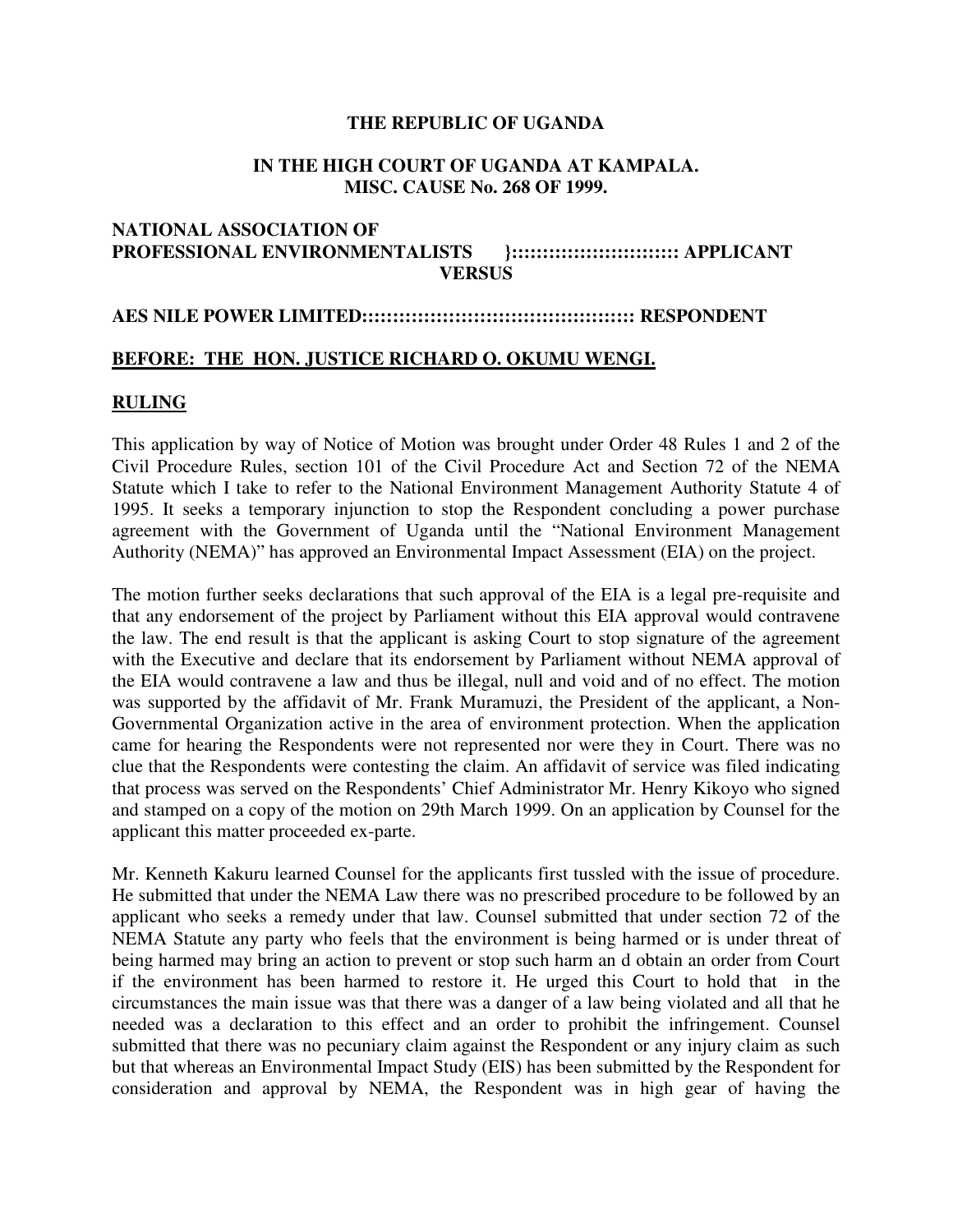## **THE REPUBLIC OF UGANDA**

### **IN THE HIGH COURT OF UGANDA AT KAMPALA. MISC. CAUSE No. 268 OF 1999.**

# **NATIONAL ASSOCIATION OF PROFESSIONAL ENVIRONMENTALISTS }::::::::::::::::::::::::::: APPLICANT VERSUS**

#### **AES NILE POWER LIMITED:::::::::::::::::::::::::::::::::::::::::::: RESPONDENT**

# **BEFORE: THE HON. JUSTICE RICHARD O. OKUMU WENGI.**

## **RULING**

This application by way of Notice of Motion was brought under Order 48 Rules 1 and 2 of the Civil Procedure Rules, section 101 of the Civil Procedure Act and Section 72 of the NEMA Statute which I take to refer to the National Environment Management Authority Statute 4 of 1995. It seeks a temporary injunction to stop the Respondent concluding a power purchase agreement with the Government of Uganda until the "National Environment Management Authority (NEMA)" has approved an Environmental Impact Assessment (EIA) on the project.

The motion further seeks declarations that such approval of the EIA is a legal pre-requisite and that any endorsement of the project by Parliament without this EIA approval would contravene the law. The end result is that the applicant is asking Court to stop signature of the agreement with the Executive and declare that its endorsement by Parliament without NEMA approval of the EIA would contravene a law and thus be illegal, null and void and of no effect. The motion was supported by the affidavit of Mr. Frank Muramuzi, the President of the applicant, a Non-Governmental Organization active in the area of environment protection. When the application came for hearing the Respondents were not represented nor were they in Court. There was no clue that the Respondents were contesting the claim. An affidavit of service was filed indicating that process was served on the Respondents' Chief Administrator Mr. Henry Kikoyo who signed and stamped on a copy of the motion on 29th March 1999. On an application by Counsel for the applicant this matter proceeded ex-parte.

Mr. Kenneth Kakuru learned Counsel for the applicants first tussled with the issue of procedure. He submitted that under the NEMA Law there was no prescribed procedure to be followed by an applicant who seeks a remedy under that law. Counsel submitted that under section 72 of the NEMA Statute any party who feels that the environment is being harmed or is under threat of being harmed may bring an action to prevent or stop such harm an d obtain an order from Court if the environment has been harmed to restore it. He urged this Court to hold that in the circumstances the main issue was that there was a danger of a law being violated and all that he needed was a declaration to this effect and an order to prohibit the infringement. Counsel submitted that there was no pecuniary claim against the Respondent or any injury claim as such but that whereas an Environmental Impact Study (EIS) has been submitted by the Respondent for consideration and approval by NEMA, the Respondent was in high gear of having the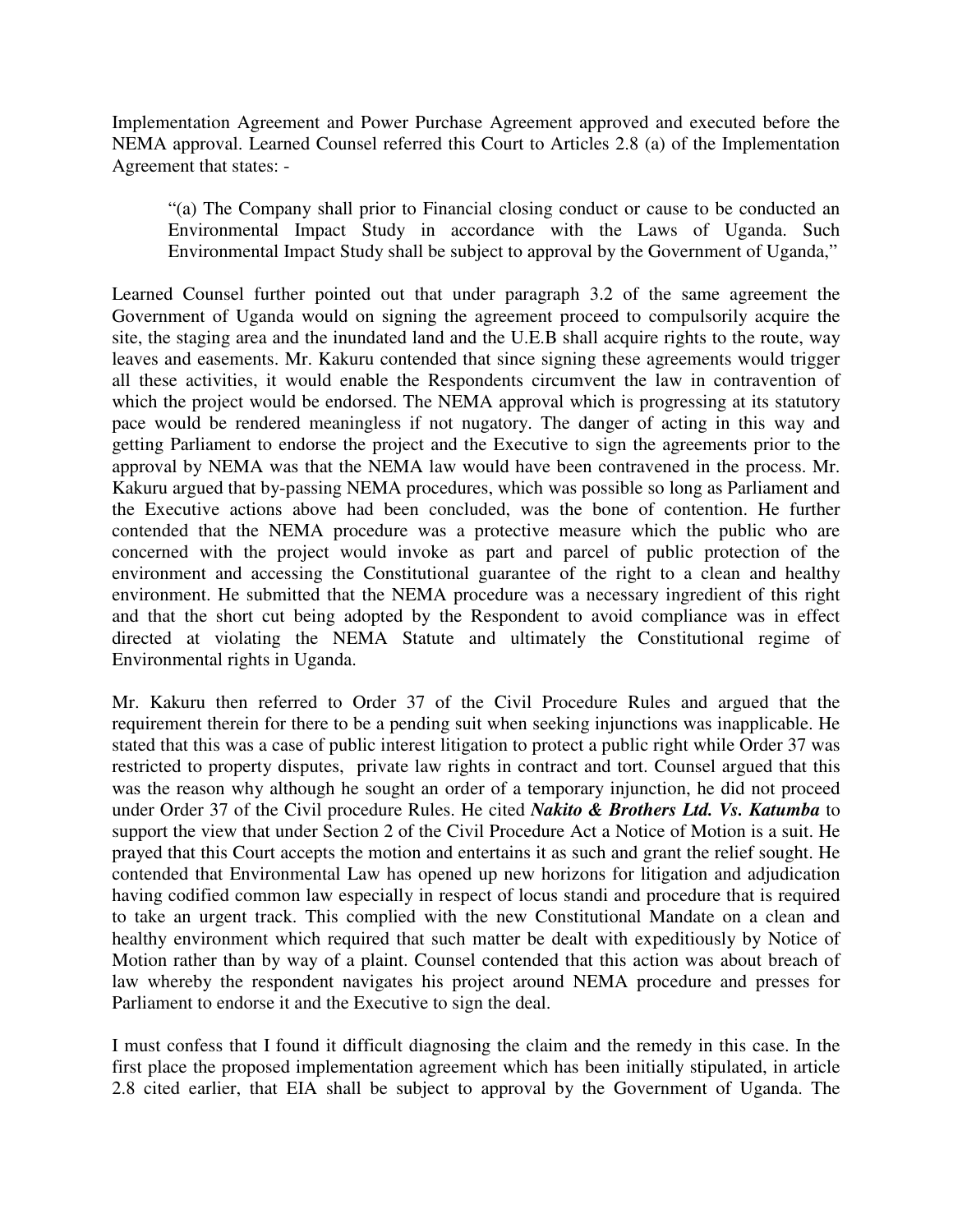Implementation Agreement and Power Purchase Agreement approved and executed before the NEMA approval. Learned Counsel referred this Court to Articles 2.8 (a) of the Implementation Agreement that states: -

"(a) The Company shall prior to Financial closing conduct or cause to be conducted an Environmental Impact Study in accordance with the Laws of Uganda. Such Environmental Impact Study shall be subject to approval by the Government of Uganda,"

Learned Counsel further pointed out that under paragraph 3.2 of the same agreement the Government of Uganda would on signing the agreement proceed to compulsorily acquire the site, the staging area and the inundated land and the U.E.B shall acquire rights to the route, way leaves and easements. Mr. Kakuru contended that since signing these agreements would trigger all these activities, it would enable the Respondents circumvent the law in contravention of which the project would be endorsed. The NEMA approval which is progressing at its statutory pace would be rendered meaningless if not nugatory. The danger of acting in this way and getting Parliament to endorse the project and the Executive to sign the agreements prior to the approval by NEMA was that the NEMA law would have been contravened in the process. Mr. Kakuru argued that by-passing NEMA procedures, which was possible so long as Parliament and the Executive actions above had been concluded, was the bone of contention. He further contended that the NEMA procedure was a protective measure which the public who are concerned with the project would invoke as part and parcel of public protection of the environment and accessing the Constitutional guarantee of the right to a clean and healthy environment. He submitted that the NEMA procedure was a necessary ingredient of this right and that the short cut being adopted by the Respondent to avoid compliance was in effect directed at violating the NEMA Statute and ultimately the Constitutional regime of Environmental rights in Uganda.

Mr. Kakuru then referred to Order 37 of the Civil Procedure Rules and argued that the requirement therein for there to be a pending suit when seeking injunctions was inapplicable. He stated that this was a case of public interest litigation to protect a public right while Order 37 was restricted to property disputes, private law rights in contract and tort. Counsel argued that this was the reason why although he sought an order of a temporary injunction, he did not proceed under Order 37 of the Civil procedure Rules. He cited *Nakito & Brothers Ltd. Vs. Katumba* to support the view that under Section 2 of the Civil Procedure Act a Notice of Motion is a suit. He prayed that this Court accepts the motion and entertains it as such and grant the relief sought. He contended that Environmental Law has opened up new horizons for litigation and adjudication having codified common law especially in respect of locus standi and procedure that is required to take an urgent track. This complied with the new Constitutional Mandate on a clean and healthy environment which required that such matter be dealt with expeditiously by Notice of Motion rather than by way of a plaint. Counsel contended that this action was about breach of law whereby the respondent navigates his project around NEMA procedure and presses for Parliament to endorse it and the Executive to sign the deal.

I must confess that I found it difficult diagnosing the claim and the remedy in this case. In the first place the proposed implementation agreement which has been initially stipulated, in article 2.8 cited earlier, that EIA shall be subject to approval by the Government of Uganda. The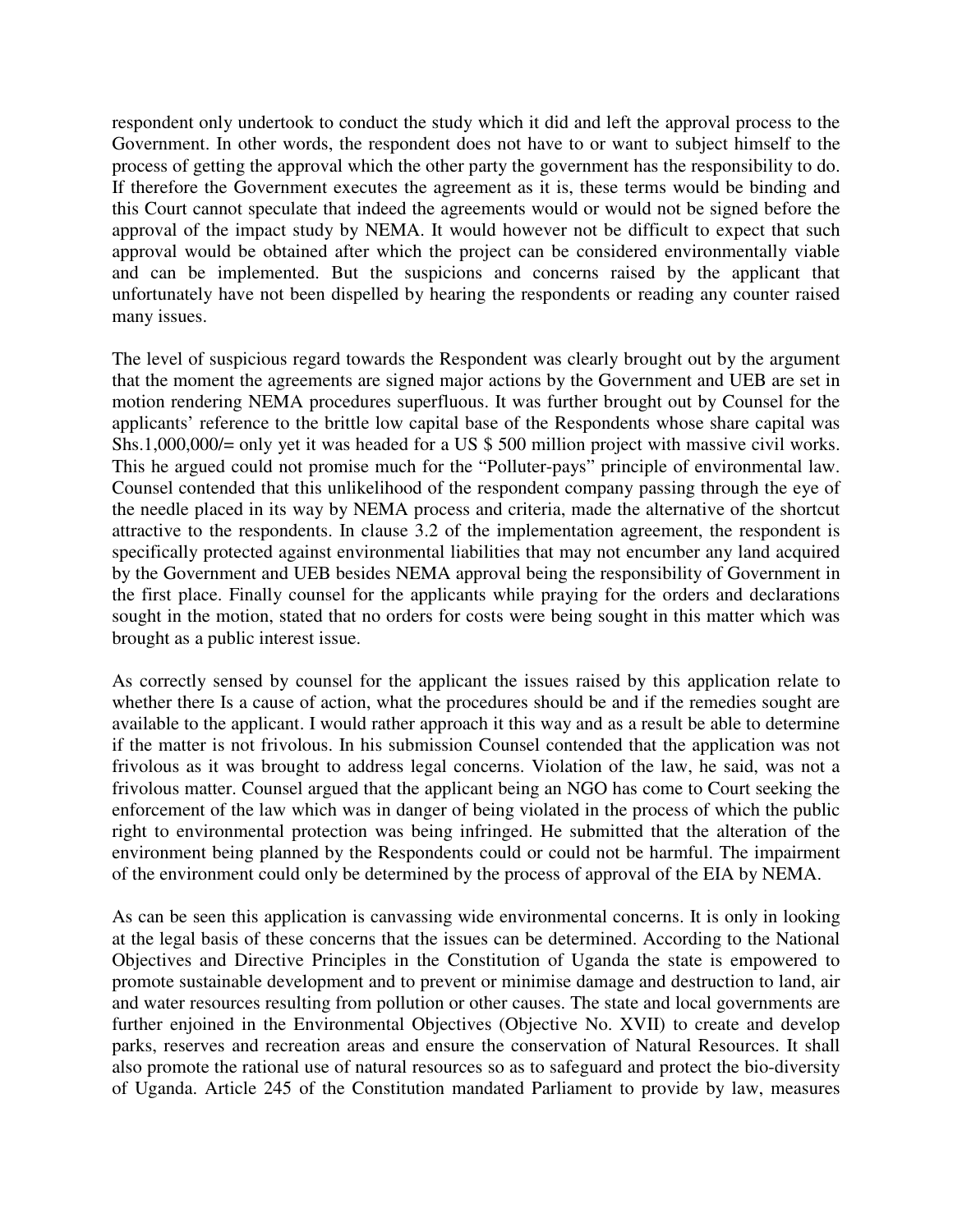respondent only undertook to conduct the study which it did and left the approval process to the Government. In other words, the respondent does not have to or want to subject himself to the process of getting the approval which the other party the government has the responsibility to do. If therefore the Government executes the agreement as it is, these terms would be binding and this Court cannot speculate that indeed the agreements would or would not be signed before the approval of the impact study by NEMA. It would however not be difficult to expect that such approval would be obtained after which the project can be considered environmentally viable and can be implemented. But the suspicions and concerns raised by the applicant that unfortunately have not been dispelled by hearing the respondents or reading any counter raised many issues.

The level of suspicious regard towards the Respondent was clearly brought out by the argument that the moment the agreements are signed major actions by the Government and UEB are set in motion rendering NEMA procedures superfluous. It was further brought out by Counsel for the applicants' reference to the brittle low capital base of the Respondents whose share capital was Shs.1,000,000/= only yet it was headed for a US \$ 500 million project with massive civil works. This he argued could not promise much for the "Polluter-pays" principle of environmental law. Counsel contended that this unlikelihood of the respondent company passing through the eye of the needle placed in its way by NEMA process and criteria, made the alternative of the shortcut attractive to the respondents. In clause 3.2 of the implementation agreement, the respondent is specifically protected against environmental liabilities that may not encumber any land acquired by the Government and UEB besides NEMA approval being the responsibility of Government in the first place. Finally counsel for the applicants while praying for the orders and declarations sought in the motion, stated that no orders for costs were being sought in this matter which was brought as a public interest issue.

As correctly sensed by counsel for the applicant the issues raised by this application relate to whether there Is a cause of action, what the procedures should be and if the remedies sought are available to the applicant. I would rather approach it this way and as a result be able to determine if the matter is not frivolous. In his submission Counsel contended that the application was not frivolous as it was brought to address legal concerns. Violation of the law, he said, was not a frivolous matter. Counsel argued that the applicant being an NGO has come to Court seeking the enforcement of the law which was in danger of being violated in the process of which the public right to environmental protection was being infringed. He submitted that the alteration of the environment being planned by the Respondents could or could not be harmful. The impairment of the environment could only be determined by the process of approval of the EIA by NEMA.

As can be seen this application is canvassing wide environmental concerns. It is only in looking at the legal basis of these concerns that the issues can be determined. According to the National Objectives and Directive Principles in the Constitution of Uganda the state is empowered to promote sustainable development and to prevent or minimise damage and destruction to land, air and water resources resulting from pollution or other causes. The state and local governments are further enjoined in the Environmental Objectives (Objective No. XVII) to create and develop parks, reserves and recreation areas and ensure the conservation of Natural Resources. It shall also promote the rational use of natural resources so as to safeguard and protect the bio-diversity of Uganda. Article 245 of the Constitution mandated Parliament to provide by law, measures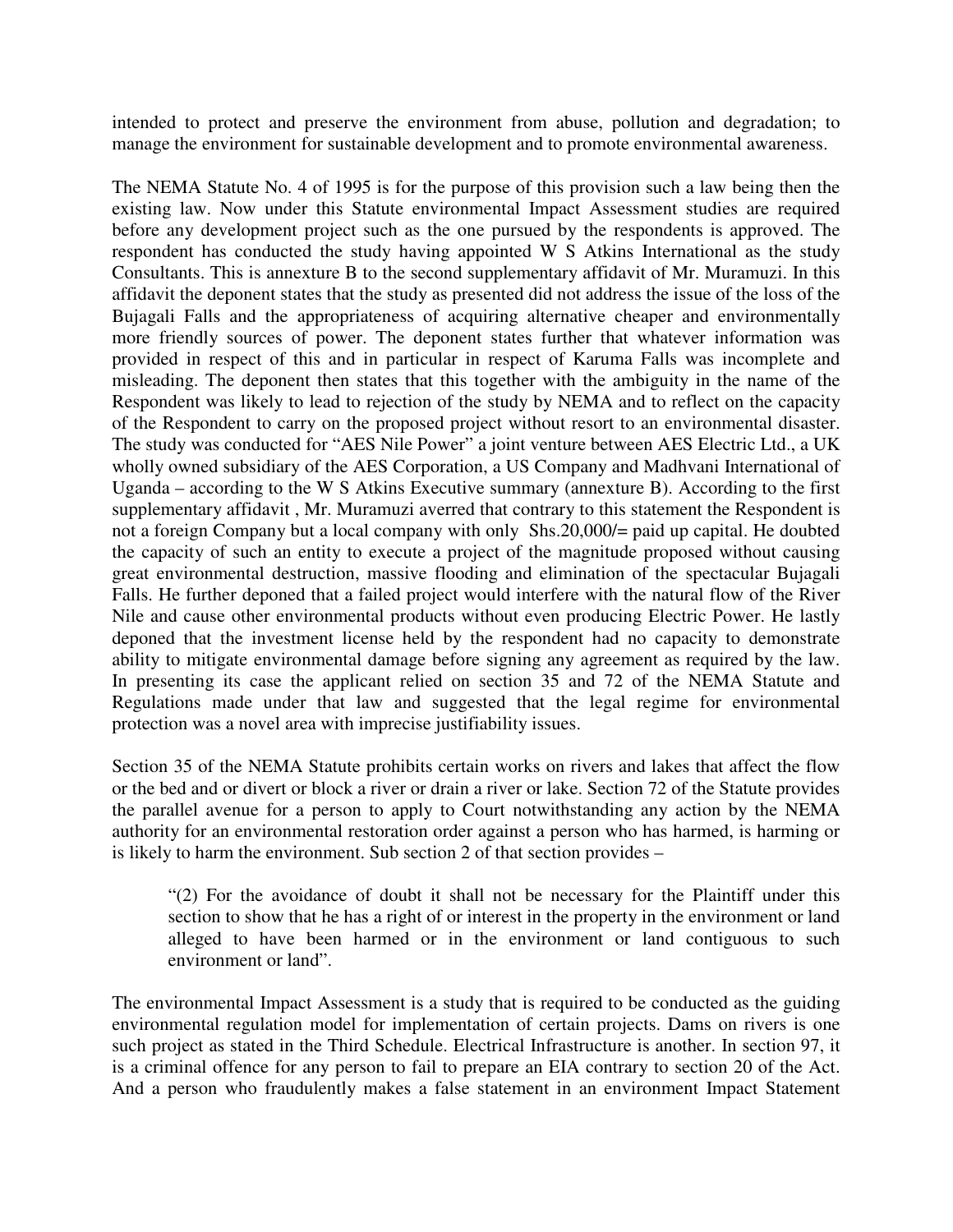intended to protect and preserve the environment from abuse, pollution and degradation; to manage the environment for sustainable development and to promote environmental awareness.

The NEMA Statute No. 4 of 1995 is for the purpose of this provision such a law being then the existing law. Now under this Statute environmental Impact Assessment studies are required before any development project such as the one pursued by the respondents is approved. The respondent has conducted the study having appointed W S Atkins International as the study Consultants. This is annexture B to the second supplementary affidavit of Mr. Muramuzi. In this affidavit the deponent states that the study as presented did not address the issue of the loss of the Bujagali Falls and the appropriateness of acquiring alternative cheaper and environmentally more friendly sources of power. The deponent states further that whatever information was provided in respect of this and in particular in respect of Karuma Falls was incomplete and misleading. The deponent then states that this together with the ambiguity in the name of the Respondent was likely to lead to rejection of the study by NEMA and to reflect on the capacity of the Respondent to carry on the proposed project without resort to an environmental disaster. The study was conducted for "AES Nile Power" a joint venture between AES Electric Ltd., a UK wholly owned subsidiary of the AES Corporation, a US Company and Madhvani International of Uganda – according to the W S Atkins Executive summary (annexture B). According to the first supplementary affidavit , Mr. Muramuzi averred that contrary to this statement the Respondent is not a foreign Company but a local company with only Shs.20,000/= paid up capital. He doubted the capacity of such an entity to execute a project of the magnitude proposed without causing great environmental destruction, massive flooding and elimination of the spectacular Bujagali Falls. He further deponed that a failed project would interfere with the natural flow of the River Nile and cause other environmental products without even producing Electric Power. He lastly deponed that the investment license held by the respondent had no capacity to demonstrate ability to mitigate environmental damage before signing any agreement as required by the law. In presenting its case the applicant relied on section 35 and 72 of the NEMA Statute and Regulations made under that law and suggested that the legal regime for environmental protection was a novel area with imprecise justifiability issues.

Section 35 of the NEMA Statute prohibits certain works on rivers and lakes that affect the flow or the bed and or divert or block a river or drain a river or lake. Section 72 of the Statute provides the parallel avenue for a person to apply to Court notwithstanding any action by the NEMA authority for an environmental restoration order against a person who has harmed, is harming or is likely to harm the environment. Sub section 2 of that section provides –

"(2) For the avoidance of doubt it shall not be necessary for the Plaintiff under this section to show that he has a right of or interest in the property in the environment or land alleged to have been harmed or in the environment or land contiguous to such environment or land".

The environmental Impact Assessment is a study that is required to be conducted as the guiding environmental regulation model for implementation of certain projects. Dams on rivers is one such project as stated in the Third Schedule. Electrical Infrastructure is another. In section 97, it is a criminal offence for any person to fail to prepare an EIA contrary to section 20 of the Act. And a person who fraudulently makes a false statement in an environment Impact Statement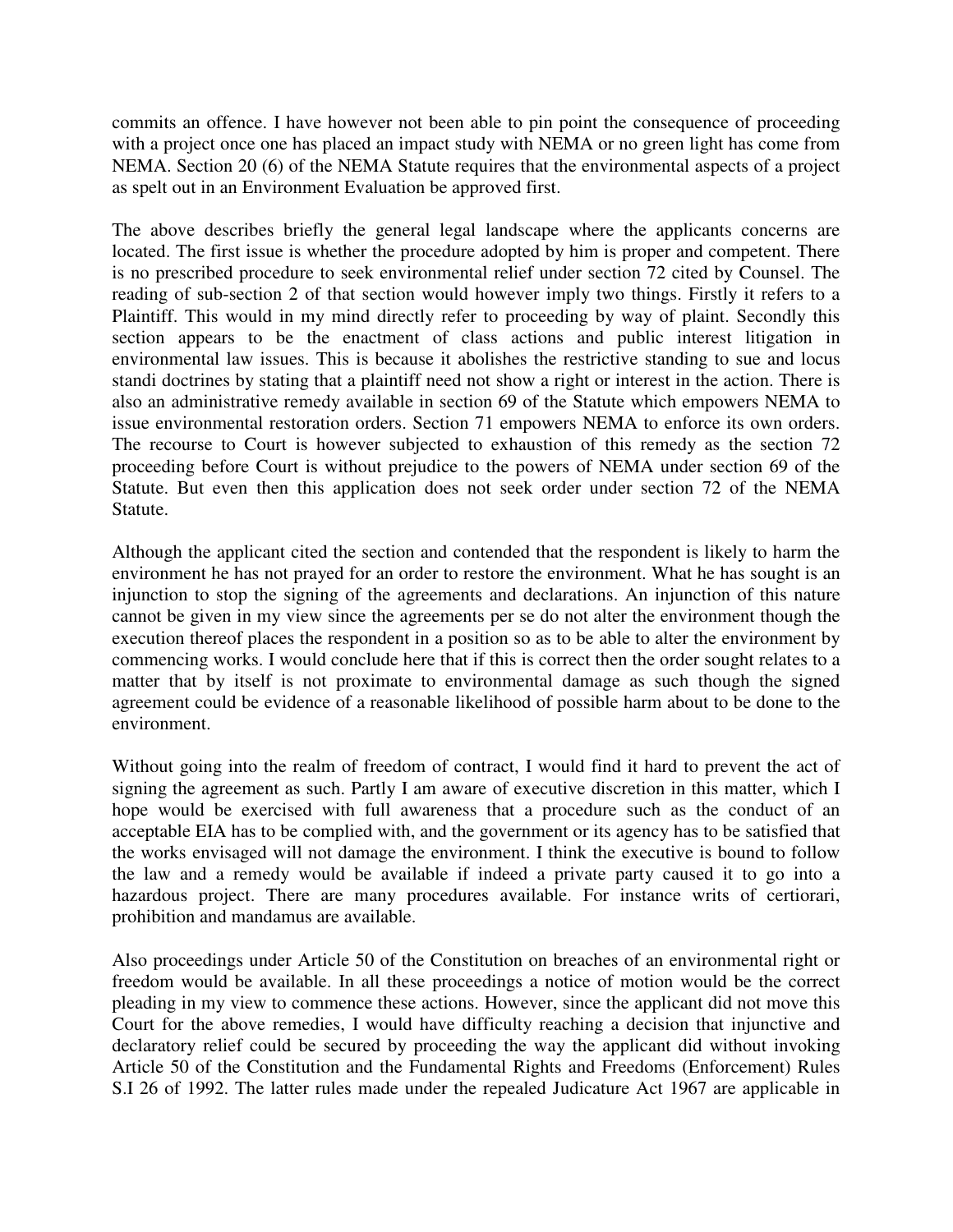commits an offence. I have however not been able to pin point the consequence of proceeding with a project once one has placed an impact study with NEMA or no green light has come from NEMA. Section 20 (6) of the NEMA Statute requires that the environmental aspects of a project as spelt out in an Environment Evaluation be approved first.

The above describes briefly the general legal landscape where the applicants concerns are located. The first issue is whether the procedure adopted by him is proper and competent. There is no prescribed procedure to seek environmental relief under section 72 cited by Counsel. The reading of sub-section 2 of that section would however imply two things. Firstly it refers to a Plaintiff. This would in my mind directly refer to proceeding by way of plaint. Secondly this section appears to be the enactment of class actions and public interest litigation in environmental law issues. This is because it abolishes the restrictive standing to sue and locus standi doctrines by stating that a plaintiff need not show a right or interest in the action. There is also an administrative remedy available in section 69 of the Statute which empowers NEMA to issue environmental restoration orders. Section 71 empowers NEMA to enforce its own orders. The recourse to Court is however subjected to exhaustion of this remedy as the section 72 proceeding before Court is without prejudice to the powers of NEMA under section 69 of the Statute. But even then this application does not seek order under section 72 of the NEMA Statute.

Although the applicant cited the section and contended that the respondent is likely to harm the environment he has not prayed for an order to restore the environment. What he has sought is an injunction to stop the signing of the agreements and declarations. An injunction of this nature cannot be given in my view since the agreements per se do not alter the environment though the execution thereof places the respondent in a position so as to be able to alter the environment by commencing works. I would conclude here that if this is correct then the order sought relates to a matter that by itself is not proximate to environmental damage as such though the signed agreement could be evidence of a reasonable likelihood of possible harm about to be done to the environment.

Without going into the realm of freedom of contract, I would find it hard to prevent the act of signing the agreement as such. Partly I am aware of executive discretion in this matter, which I hope would be exercised with full awareness that a procedure such as the conduct of an acceptable EIA has to be complied with, and the government or its agency has to be satisfied that the works envisaged will not damage the environment. I think the executive is bound to follow the law and a remedy would be available if indeed a private party caused it to go into a hazardous project. There are many procedures available. For instance writs of certiorari, prohibition and mandamus are available.

Also proceedings under Article 50 of the Constitution on breaches of an environmental right or freedom would be available. In all these proceedings a notice of motion would be the correct pleading in my view to commence these actions. However, since the applicant did not move this Court for the above remedies, I would have difficulty reaching a decision that injunctive and declaratory relief could be secured by proceeding the way the applicant did without invoking Article 50 of the Constitution and the Fundamental Rights and Freedoms (Enforcement) Rules S.I 26 of 1992. The latter rules made under the repealed Judicature Act 1967 are applicable in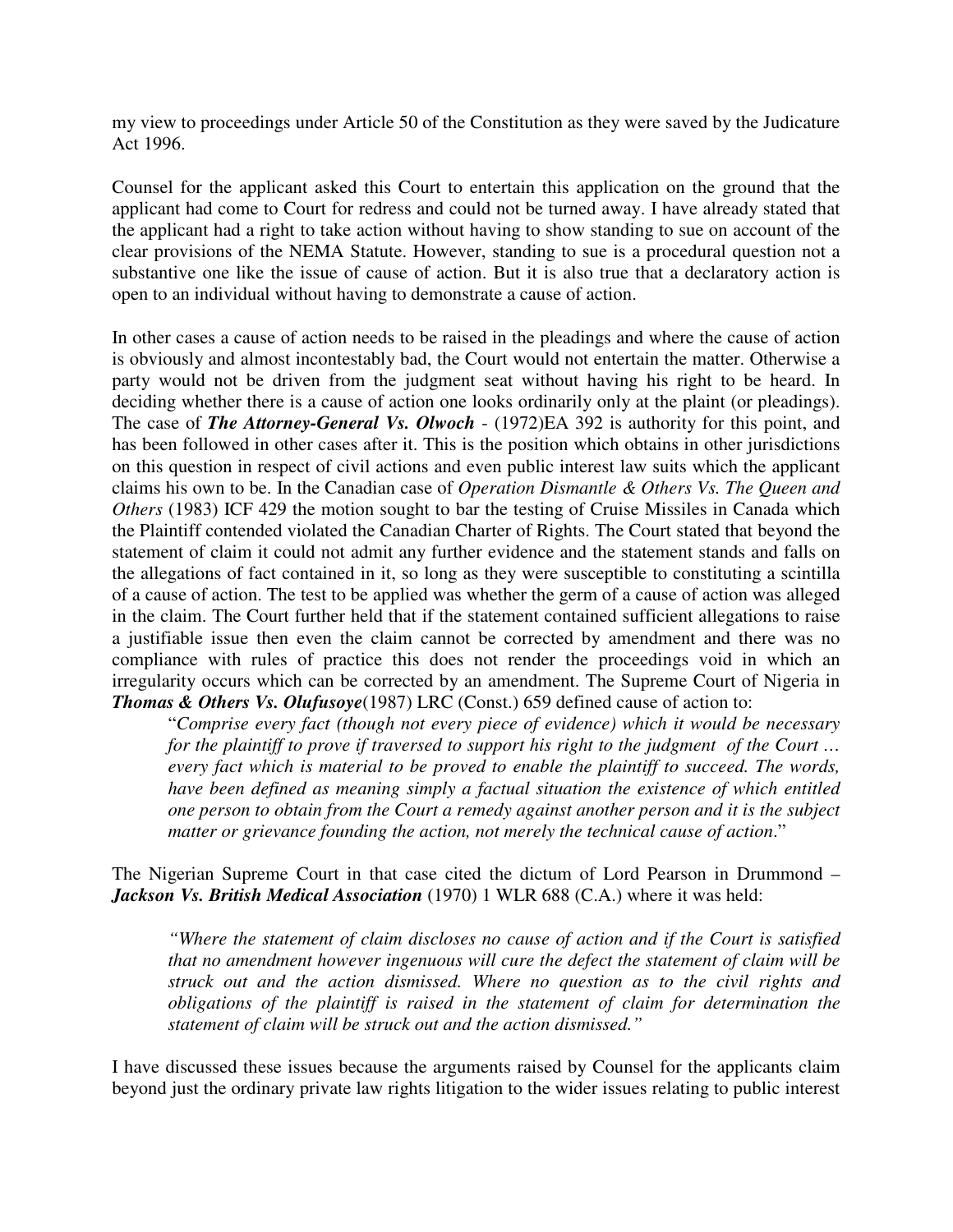my view to proceedings under Article 50 of the Constitution as they were saved by the Judicature Act 1996.

Counsel for the applicant asked this Court to entertain this application on the ground that the applicant had come to Court for redress and could not be turned away. I have already stated that the applicant had a right to take action without having to show standing to sue on account of the clear provisions of the NEMA Statute. However, standing to sue is a procedural question not a substantive one like the issue of cause of action. But it is also true that a declaratory action is open to an individual without having to demonstrate a cause of action.

In other cases a cause of action needs to be raised in the pleadings and where the cause of action is obviously and almost incontestably bad, the Court would not entertain the matter. Otherwise a party would not be driven from the judgment seat without having his right to be heard. In deciding whether there is a cause of action one looks ordinarily only at the plaint (or pleadings). The case of *The Attorney-General Vs. Olwoch* - (1972)EA 392 is authority for this point, and has been followed in other cases after it. This is the position which obtains in other jurisdictions on this question in respect of civil actions and even public interest law suits which the applicant claims his own to be. In the Canadian case of *Operation Dismantle & Others Vs. The Queen and Others* (1983) ICF 429 the motion sought to bar the testing of Cruise Missiles in Canada which the Plaintiff contended violated the Canadian Charter of Rights. The Court stated that beyond the statement of claim it could not admit any further evidence and the statement stands and falls on the allegations of fact contained in it, so long as they were susceptible to constituting a scintilla of a cause of action. The test to be applied was whether the germ of a cause of action was alleged in the claim. The Court further held that if the statement contained sufficient allegations to raise a justifiable issue then even the claim cannot be corrected by amendment and there was no compliance with rules of practice this does not render the proceedings void in which an irregularity occurs which can be corrected by an amendment. The Supreme Court of Nigeria in *Thomas & Others Vs. Olufusoye*(1987) LRC (Const.) 659 defined cause of action to:

"*Comprise every fact (though not every piece of evidence) which it would be necessary for the plaintiff to prove if traversed to support his right to the judgment of the Court … every fact which is material to be proved to enable the plaintiff to succeed. The words, have been defined as meaning simply a factual situation the existence of which entitled one person to obtain from the Court a remedy against another person and it is the subject matter or grievance founding the action, not merely the technical cause of action*."

The Nigerian Supreme Court in that case cited the dictum of Lord Pearson in Drummond – *Jackson Vs. British Medical Association* (1970) 1 WLR 688 (C.A.) where it was held:

*"Where the statement of claim discloses no cause of action and if the Court is satisfied that no amendment however ingenuous will cure the defect the statement of claim will be struck out and the action dismissed. Where no question as to the civil rights and obligations of the plaintiff is raised in the statement of claim for determination the statement of claim will be struck out and the action dismissed."* 

I have discussed these issues because the arguments raised by Counsel for the applicants claim beyond just the ordinary private law rights litigation to the wider issues relating to public interest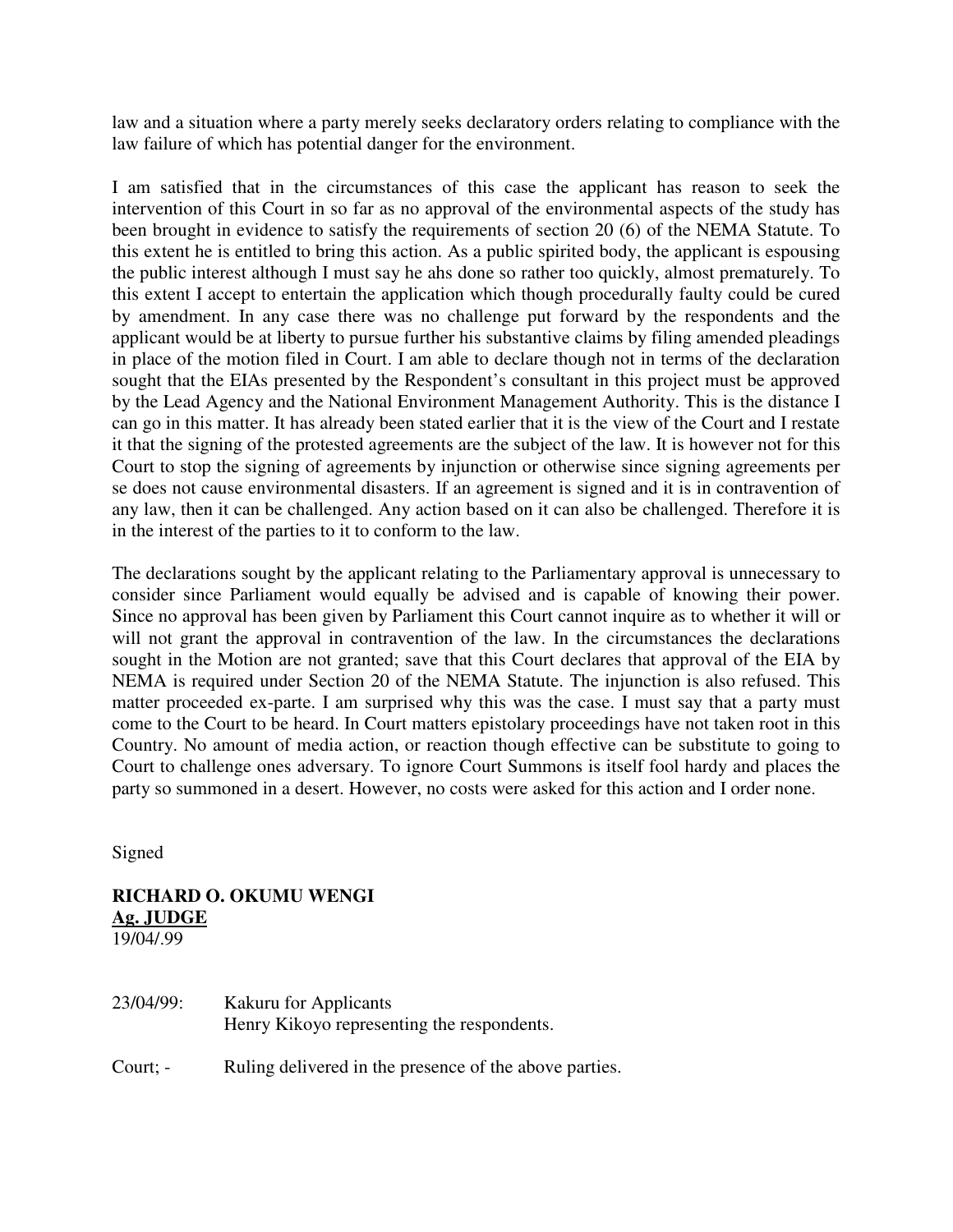law and a situation where a party merely seeks declaratory orders relating to compliance with the law failure of which has potential danger for the environment.

I am satisfied that in the circumstances of this case the applicant has reason to seek the intervention of this Court in so far as no approval of the environmental aspects of the study has been brought in evidence to satisfy the requirements of section 20 (6) of the NEMA Statute. To this extent he is entitled to bring this action. As a public spirited body, the applicant is espousing the public interest although I must say he ahs done so rather too quickly, almost prematurely. To this extent I accept to entertain the application which though procedurally faulty could be cured by amendment. In any case there was no challenge put forward by the respondents and the applicant would be at liberty to pursue further his substantive claims by filing amended pleadings in place of the motion filed in Court. I am able to declare though not in terms of the declaration sought that the EIAs presented by the Respondent's consultant in this project must be approved by the Lead Agency and the National Environment Management Authority. This is the distance I can go in this matter. It has already been stated earlier that it is the view of the Court and I restate it that the signing of the protested agreements are the subject of the law. It is however not for this Court to stop the signing of agreements by injunction or otherwise since signing agreements per se does not cause environmental disasters. If an agreement is signed and it is in contravention of any law, then it can be challenged. Any action based on it can also be challenged. Therefore it is in the interest of the parties to it to conform to the law.

The declarations sought by the applicant relating to the Parliamentary approval is unnecessary to consider since Parliament would equally be advised and is capable of knowing their power. Since no approval has been given by Parliament this Court cannot inquire as to whether it will or will not grant the approval in contravention of the law. In the circumstances the declarations sought in the Motion are not granted; save that this Court declares that approval of the EIA by NEMA is required under Section 20 of the NEMA Statute. The injunction is also refused. This matter proceeded ex-parte. I am surprised why this was the case. I must say that a party must come to the Court to be heard. In Court matters epistolary proceedings have not taken root in this Country. No amount of media action, or reaction though effective can be substitute to going to Court to challenge ones adversary. To ignore Court Summons is itself fool hardy and places the party so summoned in a desert. However, no costs were asked for this action and I order none.

Signed

# **RICHARD O. OKUMU WENGI Ag. JUDGE**

19/04/.99

| 23/04/99: | <b>Kakuru for Applicants</b><br>Henry Kikoyo representing the respondents. |
|-----------|----------------------------------------------------------------------------|
| Court; -  | Ruling delivered in the presence of the above parties.                     |